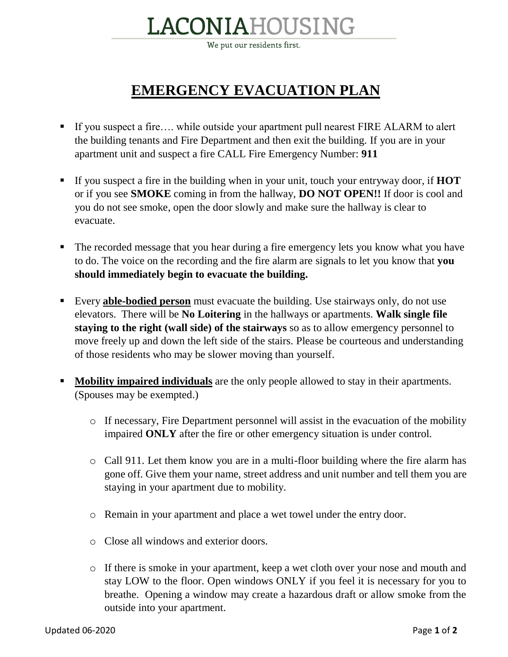## LACONIAHOUSING

We put our residents first.

## **EMERGENCY EVACUATION PLAN**

- If you suspect a fire…. while outside your apartment pull nearest FIRE ALARM to alert the building tenants and Fire Department and then exit the building. If you are in your apartment unit and suspect a fire CALL Fire Emergency Number: **911**
- If you suspect a fire in the building when in your unit, touch your entryway door, if **HOT** or if you see **SMOKE** coming in from the hallway, **DO NOT OPEN!!** If door is cool and you do not see smoke, open the door slowly and make sure the hallway is clear to evacuate.
- The recorded message that you hear during a fire emergency lets you know what you have to do. The voice on the recording and the fire alarm are signals to let you know that **you should immediately begin to evacuate the building.**
- Every **able-bodied person** must evacuate the building. Use stairways only, do not use elevators. There will be **No Loitering** in the hallways or apartments. **Walk single file staying to the right (wall side) of the stairways** so as to allow emergency personnel to move freely up and down the left side of the stairs. Please be courteous and understanding of those residents who may be slower moving than yourself.
- **Mobility impaired individuals** are the only people allowed to stay in their apartments. (Spouses may be exempted.)
	- o If necessary, Fire Department personnel will assist in the evacuation of the mobility impaired **ONLY** after the fire or other emergency situation is under control.
	- o Call 911. Let them know you are in a multi-floor building where the fire alarm has gone off. Give them your name, street address and unit number and tell them you are staying in your apartment due to mobility.
	- o Remain in your apartment and place a wet towel under the entry door.
	- o Close all windows and exterior doors.
	- o If there is smoke in your apartment, keep a wet cloth over your nose and mouth and stay LOW to the floor. Open windows ONLY if you feel it is necessary for you to breathe. Opening a window may create a hazardous draft or allow smoke from the outside into your apartment.